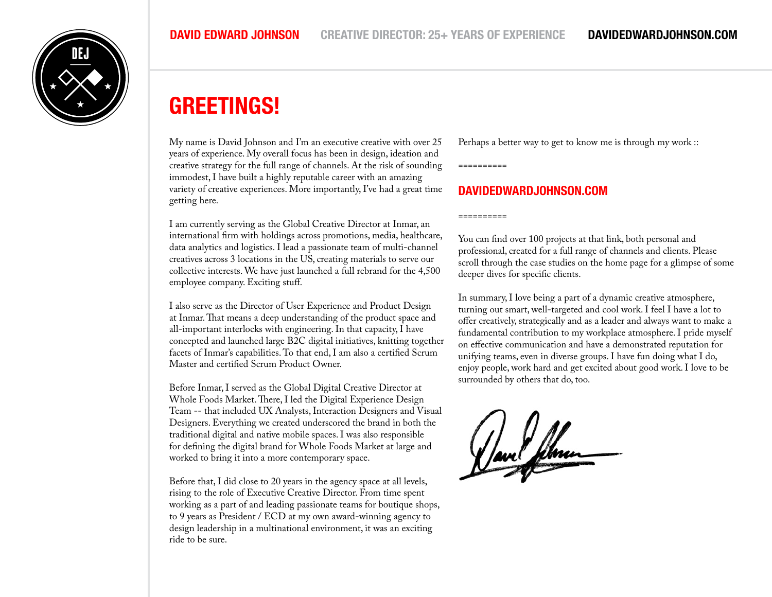

## **GREETINGS!**

My name is David Johnson and I'm an executive creative with over 25 years of experience. My overall focus has been in design, ideation and creative strategy for the full range of channels. At the risk of sounding immodest, I have built a highly reputable career with an amazing variety of creative experiences. More importantly, I've had a great time getting here.

I am currently serving as the Global Creative Director at Inmar, an international firm with holdings across promotions, media, healthcare, data analytics and logistics. I lead a passionate team of multi-channel creatives across 3 locations in the US, creating materials to serve our collective interests. We have just launched a full rebrand for the 4,500 employee company. Exciting stuff.

I also serve as the Director of User Experience and Product Design at Inmar. That means a deep understanding of the product space and all-important interlocks with engineering. In that capacity, I have concepted and launched large B2C digital initiatives, knitting together facets of Inmar's capabilities. To that end, I am also a certified Scrum Master and certified Scrum Product Owner.

Before Inmar, I served as the Global Digital Creative Director at Whole Foods Market. There, I led the Digital Experience Design Team -- that included UX Analysts, Interaction Designers and Visual Designers. Everything we created underscored the brand in both the traditional digital and native mobile spaces. I was also responsible for defining the digital brand for Whole Foods Market at large and worked to bring it into a more contemporary space.

Before that, I did close to 20 years in the agency space at all levels, rising to the role of Executive Creative Director. From time spent working as a part of and leading passionate teams for boutique shops, to 9 years as President / ECD at my own award-winning agency to design leadership in a multinational environment, it was an exciting ride to be sure.

Perhaps a better way to get to know me is through my work ::

==========

==========

### **DAVIDEDWARDJOHNSON.COM**

You can find over 100 projects at that link, both personal and professional, created for a full range of channels and clients. Please scroll through the case studies on the home page for a glimpse of some deeper dives for specific clients.

In summary, I love being a part of a dynamic creative atmosphere, turning out smart, well-targeted and cool work. I feel I have a lot to offer creatively, strategically and as a leader and always want to make a fundamental contribution to my workplace atmosphere. I pride myself on effective communication and have a demonstrated reputation for unifying teams, even in diverse groups. I have fun doing what I do, enjoy people, work hard and get excited about good work. I love to be surrounded by others that do, too.

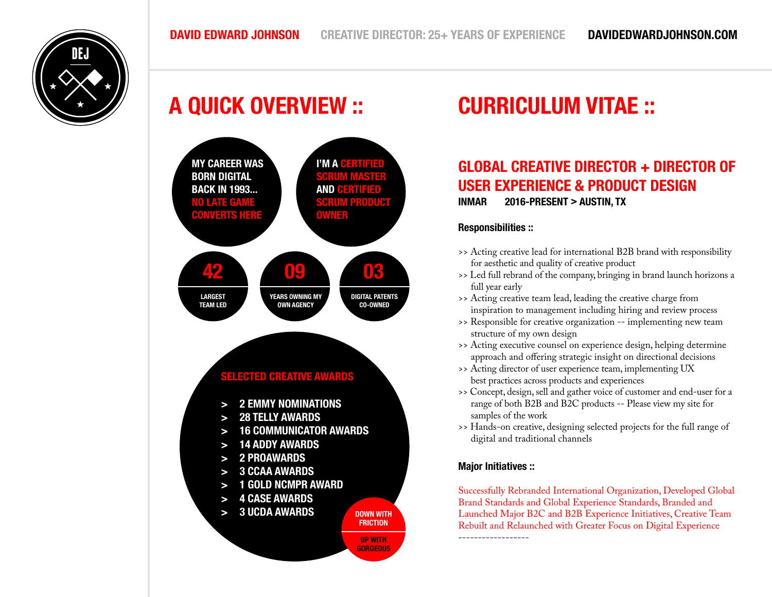# **A QUICK OVERVIEW :: CURRICULUM VITAE ::**



## **GLOBAL CREATIVE DIRECTOR + DIRECTOR OF USER EXPERIENCE & PRODUCT DESIGN INMAR 2016-PRESENT > AUSTIN, TX**

#### **Responsibilities ::**

- >> Acting creative lead for international B2B brand with responsibility for aesthetic and quality of creative product
- >> Led full rebrand of the company, bringing in brand launch horizons a full year early
- >> Acting creative team lead, leading the creative charge from inspiration to management including hiring and review process
- >> Responsible for creative organization -- implementing new team structure of my own design
- >> Acting executive counsel on experience design, helping determine approach and offering strategic insight on directional decisions
- >> Acting director of user experience team, implementing UX best practices across products and experiences
- >> Concept, design, sell and gather voice of customer and end-user for a range of both B2B and B2C products -- Please view my site for samples of the work
- >> Hands-on creative, designing selected projects for the full range of digital and traditional channels

#### **Major Initiatives ::**

Successfully Rebranded International Organization, Developed Global Brand Standards and Global Experience Standards, Branded and Launched Major B2C and B2B Experience Initiatives, Creative Team Rebuilt and Relaunched with Greater Focus on Digital Experience ------------------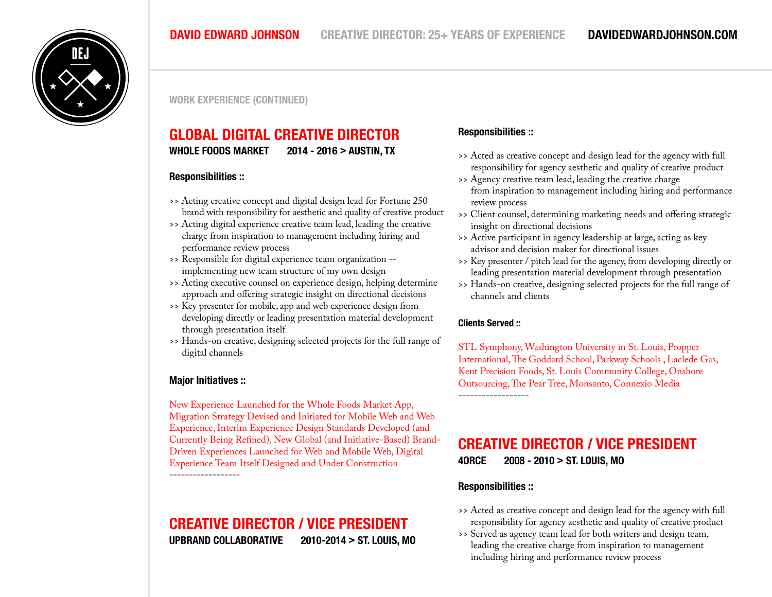

**WORK EXPERIENCE (CONTINUED)**

### **GLOBAL DIGITAL CREATIVE DIRECTOR WHOLE FOODS MARKET 2014 - 2016 > AUSTIN, TX**

#### **Responsibilities ::**

- >> Acting creative concept and digital design lead for Fortune 250 brand with responsibility for aesthetic and quality of creative product
- >> Acting digital experience creative team lead, leading the creative charge from inspiration to management including hiring and performance review process
- >> Responsible for digital experience team organization implementing new team structure of my own design
- >> Acting executive counsel on experience design, helping determine approach and offering strategic insight on directional decisions
- >> Key presenter for mobile, app and web experience design from developing directly or leading presentation material development through presentation itself
- >> Hands-on creative, designing selected projects for the full range of digital channels

#### **Major Initiatives ::**

New Experience Launched for the Whole Foods Market App, Migration Strategy Devised and Initiated for Mobile Web and Web Experience, Interim Experience Design Standards Developed (and Currently Being Refined), New Global (and Initiative-Based) Brand-Driven Experiences Launched for Web and Mobile Web, Digital Experience Team Itself Designed and Under Construction ------------------

### **CREATIVE DIRECTOR / VICE PRESIDENT UPBRAND COLLABORATIVE 2010-2014 > ST. LOUIS, MO**

#### **Responsibilities ::**

- >> Acted as creative concept and design lead for the agency with full responsibility for agency aesthetic and quality of creative product
- >> Agency creative team lead, leading the creative charge from inspiration to management including hiring and performance review process
- >> Client counsel, determining marketing needs and offering strategic insight on directional decisions
- >> Active participant in agency leadership at large, acting as key advisor and decision maker for directional issues
- >> Key presenter / pitch lead for the agency, from developing directly or leading presentation material development through presentation
- >> Hands-on creative, designing selected projects for the full range of channels and clients

#### **Clients Served ::**

STL Symphony, Washington University in St. Louis, Propper International, The Goddard School, Parkway Schools , Laclede Gas, Kent Precision Foods, St. Louis Community College, Onshore Outsourcing, The Pear Tree, Monsanto, Connexio Media

### **CREATIVE DIRECTOR / VICE PRESIDENT**

**4ORCE 2008 - 2010 > ST. LOUIS, MO**

#### **Responsibilities ::**

- >> Acted as creative concept and design lead for the agency with full responsibility for agency aesthetic and quality of creative product
- >> Served as agency team lead for both writers and design team, leading the creative charge from inspiration to management including hiring and performance review process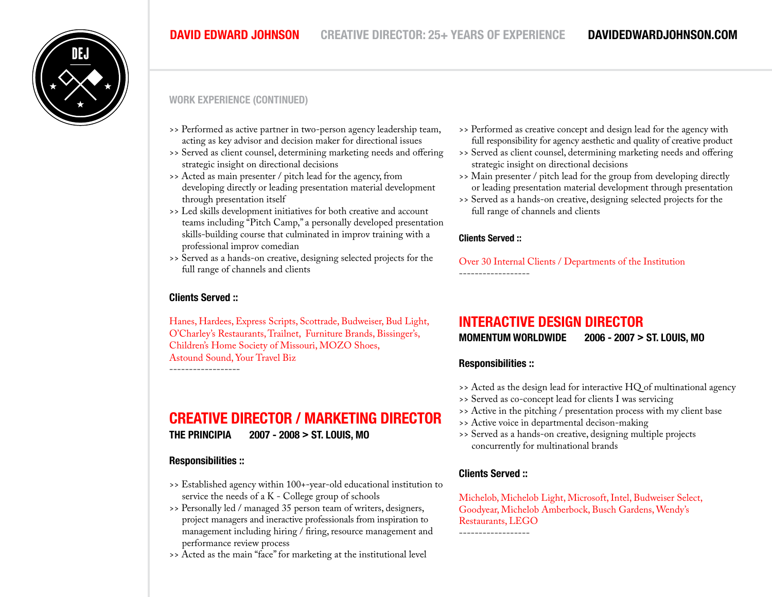

#### **WORK EXPERIENCE (CONTINUED)**

- >> Performed as active partner in two-person agency leadership team, acting as key advisor and decision maker for directional issues
- >> Served as client counsel, determining marketing needs and offering strategic insight on directional decisions
- >> Acted as main presenter / pitch lead for the agency, from developing directly or leading presentation material development through presentation itself
- >> Led skills development initiatives for both creative and account teams including "Pitch Camp," a personally developed presentation skills-building course that culminated in improv training with a professional improv comedian
- >> Served as a hands-on creative, designing selected projects for the full range of channels and clients

#### **Clients Served ::**

Hanes, Hardees, Express Scripts, Scottrade, Budweiser, Bud Light, O'Charley's Restaurants, Trailnet, Furniture Brands, Bissinger's, Children's Home Society of Missouri, MOZO Shoes, Astound Sound, Your Travel Biz

**CREATIVE DIRECTOR / MARKETING DIRECTOR**

**THE PRINCIPIA 2007 - 2008 > ST. LOUIS, MO**

#### **Responsibilities ::**

- >> Established agency within 100+-year-old educational institution to service the needs of a K - College group of schools
- >> Personally led / managed 35 person team of writers, designers, project managers and ineractive professionals from inspiration to management including hiring / firing, resource management and performance review process
- >> Acted as the main "face" for marketing at the institutional level
- >> Performed as creative concept and design lead for the agency with full responsibility for agency aesthetic and quality of creative product
- >> Served as client counsel, determining marketing needs and offering strategic insight on directional decisions
- >> Main presenter / pitch lead for the group from developing directly or leading presentation material development through presentation
- >> Served as a hands-on creative, designing selected projects for the full range of channels and clients

#### **Clients Served ::**

------------------

Over 30 Internal Clients / Departments of the Institution

### **INTERACTIVE DESIGN DIRECTOR**

**MOMENTUM WORLDWIDE 2006 - 2007 > ST. LOUIS, MO**

#### **Responsibilities ::**

- >> Acted as the design lead for interactive HQ of multinational agency
- >> Served as co-concept lead for clients I was servicing
- >> Active in the pitching / presentation process with my client base
- >> Active voice in departmental decison-making
- >> Served as a hands-on creative, designing multiple projects concurrently for multinational brands

#### **Clients Served ::**

Michelob, Michelob Light, Microsoft, Intel, Budweiser Select, Goodyear, Michelob Amberbock, Busch Gardens, Wendy's Restaurants, LEGO ------------------